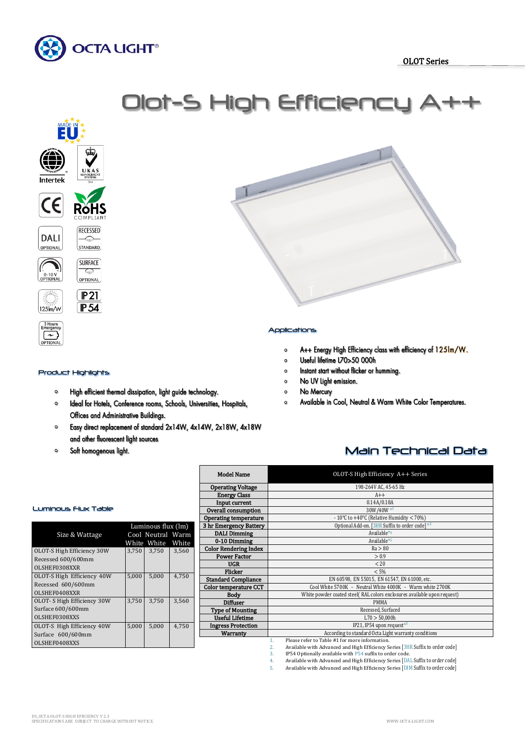

Ġ

RÖHS

RECESSED

STANDARD **SURFACE**  $\sqrt{ }$ 

OPTIONAL  $P<sub>21</sub>$  $[P54]$ 

MADE IN

**Intertek** 

 $\mathsf{CE}$ 

**DALI** OPTIONAL

 $0-10V$ <br>OPTIONAL

125m/w 3 Hours<br>Emergen  $\bar{+}$ 

OLOT Series



# Applications

- A++ Energy High Efficiency class with efficiency of 125Im/W.  $\circ$
- Useful lifetime L70>50 000h  $\circ$
- Instant start without flicker or humming.  $\circ$
- No UV Light emission.  $\circ$
- No Mercury  $\circ$
- Available in Cool, Neutral & Warm White Color Temperatures.  $\circ$
- Offices and Administrative Buildings. Easy direct replacement of standard 2x14W, 4x14W, 2x18W, 4x18W  $\circ$ and other fluorescent light sources

High efficient thermal dissipation, light guide technology.

Ideal for Hotels, Conference rooms, Schools, Universities, Hospitals,

 $\circ$ Soft homogenous light.

# Main Technical Data

| <b>Model Name</b>            | OLOT-S High Efficiency A++ Series                                       |  |  |  |  |  |  |
|------------------------------|-------------------------------------------------------------------------|--|--|--|--|--|--|
| <b>Operating Voltage</b>     | 198-264V AC, 45-65 Hz                                                   |  |  |  |  |  |  |
| <b>Energy Class</b>          | $A++$                                                                   |  |  |  |  |  |  |
| Input current                | 0.14A/0.18A                                                             |  |  |  |  |  |  |
| Overall consumption          | 30W/40W*1                                                               |  |  |  |  |  |  |
| <b>Operating temperature</b> | - 10°C to $+40$ °C (Relative Humidity < 70%)                            |  |  |  |  |  |  |
| 3 hr Emergency Battery       | Optional Add-on. [3HR Suffix to order code] *2                          |  |  |  |  |  |  |
| <b>DALI</b> Dimming          | Available*4                                                             |  |  |  |  |  |  |
| 0-10 Dimming                 | Available*5                                                             |  |  |  |  |  |  |
| <b>Color Rendering Index</b> | Ra > 80                                                                 |  |  |  |  |  |  |
| <b>Power Factor</b>          | > 0.9                                                                   |  |  |  |  |  |  |
| <b>UGR</b>                   | < 20                                                                    |  |  |  |  |  |  |
| Flicker                      | < 5%                                                                    |  |  |  |  |  |  |
| <b>Standard Compliance</b>   | EN 60598, EN 55015, EN 61547, EN 61000, etc.                            |  |  |  |  |  |  |
| <b>Color temperature CCT</b> | Cool White 5700K - Neutral White 4000K - Warm white 2700K               |  |  |  |  |  |  |
| Body                         | White powder coated steel(RAL colors enclosures available upon request) |  |  |  |  |  |  |
| <b>Diffuser</b>              | <b>PMMA</b>                                                             |  |  |  |  |  |  |
| <b>Type of Mounting</b>      | Recessed, Surfaced                                                      |  |  |  |  |  |  |
| <b>Useful Lifetime</b>       | L70 > 50,000h                                                           |  |  |  |  |  |  |
| <b>Ingress Protection</b>    | IP21, IP54 upon request*3                                               |  |  |  |  |  |  |
| <b>Warranty</b>              | According to standard Octa Light warranty conditions                    |  |  |  |  |  |  |
|                              | Please refer to Table #1 for more information.<br>1.<br>$\sim$          |  |  |  |  |  |  |
|                              |                                                                         |  |  |  |  |  |  |

2. Available with Advanced and High Efficiency Series [3HR Suffix to order code] 3. IP54 Optionally available with P54 suffix to order code.

4. Available with Advanced and High Efficiency Series [DAL Suffix to order code] Available with Advanced and High Efficiency Series [DIM Suffix to order code]

#### Luminous Flux Table

Product Highlights

 $\circ$ 

 $\circ$ 

|                            |                   |                   | Luminous flux (lm) |  |
|----------------------------|-------------------|-------------------|--------------------|--|
| Size & Wattage             | Cool Neutral Warm |                   |                    |  |
|                            |                   | White White White |                    |  |
| OLOT-S High Efficiency 30W | 3.750             | 3,750             | 3.560              |  |
| Recessed 600/600mm         |                   |                   |                    |  |
| OLSHEF0308XXR              |                   |                   |                    |  |
| OLOT-S High Efficiency 40W | 5.000             | 5.000             | 4.750              |  |
| Recessed 600/600mm         |                   |                   |                    |  |
| OLSHEF0408XXR              |                   |                   |                    |  |
| OLOT-S High Efficiency 30W | 3.750             | 3.750             | 3.560              |  |
| Surface 600/600mm          |                   |                   |                    |  |
| OLSHEF0308XXS              |                   |                   |                    |  |
| OLOT-S High Efficiency 40W | 5.000             | 5.000             | 4.750              |  |
| Surface 600/600mm          |                   |                   |                    |  |
| OLSHEF0408XXS              |                   |                   |                    |  |